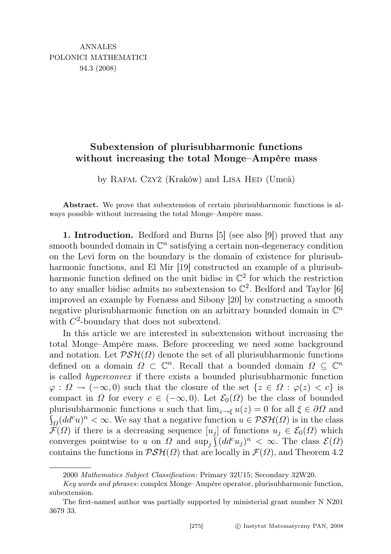## Subextension of plurisubharmonic functions without increasing the total Monge–Ampère mass

by Rafał Czyż (Kraków) and Lisa Hed (Umeå)

Abstract. We prove that subextension of certain plurisubharmonic functions is always possible without increasing the total Monge–Ampère mass.

1. Introduction. Bedford and Burns [5] (see also [9]) proved that any smooth bounded domain in  $\mathbb{C}^n$  satisfying a certain non-degeneracy condition on the Levi form on the boundary is the domain of existence for plurisubharmonic functions, and El Mir [19] constructed an example of a plurisubharmonic function defined on the unit bidisc in  $\mathbb{C}^2$  for which the restriction to any smaller bidisc admits no subextension to  $\mathbb{C}^2$ . Bedford and Taylor [6] improved an example by Fornæss and Sibony [20] by constructing a smooth negative plurisubharmonic function on an arbitrary bounded domain in  $\mathbb{C}^n$ with  $C^2$ -boundary that does not subextend.

In this article we are interested in subextension without increasing the total Monge–Ampère mass. Before proceeding we need some background and notation. Let  $\mathcal{PSH}(\Omega)$  denote the set of all plurisubharmonic functions defined on a domain  $\Omega \subset \mathbb{C}^n$ . Recall that a bounded domain  $\Omega \subseteq \mathbb{C}^n$ is called hyperconvex if there exists a bounded plurisubharmonic function  $\varphi : \Omega \to (-\infty, 0)$  such that the closure of the set  $\{z \in \Omega : \varphi(z) < c\}$  is compact in  $\Omega$  for every  $c \in (-\infty, 0)$ . Let  $\mathcal{E}_0(\Omega)$  be the class of bounded plurisubharmonic functions u such that  $\lim_{z\to\xi} u(z) = 0$  for all  $\xi \in \partial\Omega$  and  $\int_{\Omega} (dd^c u)^n < \infty$ . We say that a negative function  $u \in \mathcal{PSH}(\Omega)$  is in the class  $\mathcal{F}(\Omega)$  if there is a decreasing sequence  $[u_i]$  of functions  $u_j \in \mathcal{E}_0(\Omega)$  which converges pointwise to u on  $\Omega$  and  $\sup_j \int (dd^c u_j)^n < \infty$ . The class  $\mathcal{E}(\Omega)$ contains the functions in  $\mathcal{PSH}(\Omega)$  that are locally in  $\mathcal{F}(\Omega)$ , and Theorem 4.2

<sup>2000</sup> Mathematics Subject Classification: Primary 32U15; Secondary 32W20.

Key words and phrases: complex Monge–Ampère operator, plurisubharmonic function, subextension.

The first-named author was partially supported by ministerial grant number N N201 3679 33.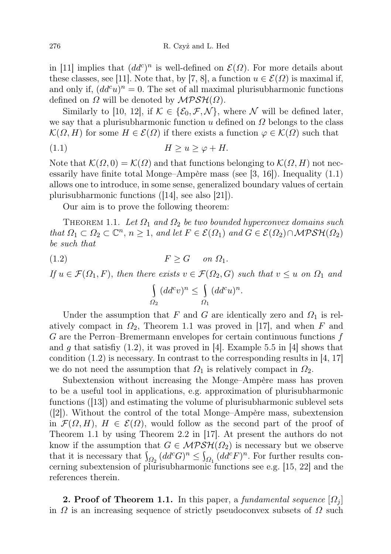in [11] implies that  $(dd^c)^n$  is well-defined on  $\mathcal{E}(\Omega)$ . For more details about these classes, see [11]. Note that, by [7, 8], a function  $u \in \mathcal{E}(\Omega)$  is maximal if, and only if,  $(dd^c u)^n = 0$ . The set of all maximal plurisubharmonic functions defined on  $\Omega$  will be denoted by  $\mathcal{MPSH}(\Omega)$ .

Similarly to [10, 12], if  $\mathcal{K} \in \{ \mathcal{E}_0, \mathcal{F}, \mathcal{N} \}$ , where N will be defined later, we say that a plurisubharmonic function u defined on  $\Omega$  belongs to the class  $\mathcal{K}(\Omega, H)$  for some  $H \in \mathcal{E}(\Omega)$  if there exists a function  $\varphi \in \mathcal{K}(\Omega)$  such that

(1.1) H ≥ u ≥ ϕ + H.

Note that  $\mathcal{K}(\Omega, 0) = \mathcal{K}(\Omega)$  and that functions belonging to  $\mathcal{K}(\Omega, H)$  not necessarily have finite total Monge–Ampère mass (see [3, 16]). Inequality (1.1) allows one to introduce, in some sense, generalized boundary values of certain plurisubharmonic functions ([14], see also [21]).

Our aim is to prove the following theorem:

THEOREM 1.1. Let  $\Omega_1$  and  $\Omega_2$  be two bounded hyperconvex domains such that  $\Omega_1 \subset \Omega_2 \subset \mathbb{C}^n$ ,  $n \geq 1$ , and let  $F \in \mathcal{E}(\Omega_1)$  and  $G \in \mathcal{E}(\Omega_2) \cap \mathcal{MPSH}(\Omega_2)$ be such that

$$
(1.2) \t\t\t F \ge G \t on \t \Omega_1.
$$

 $\Omega_2$ 

If 
$$
u \in \mathcal{F}(\Omega_1, F)
$$
, then there exists  $v \in \mathcal{F}(\Omega_2, G)$  such that  $v \leq u$  on  $\Omega_1$  and  
\n
$$
\left\{ (dd^c v)^n \leq \int (dd^c u)^n.
$$

 $\Omega_1$ 

Under the assumption that F and G are identically zero and  $\Omega_1$  is relatively compact in  $\Omega_2$ , Theorem 1.1 was proved in [17], and when F and G are the Perron–Bremermann envelopes for certain continuous functions  $f$ and g that satisfiy  $(1.2)$ , it was proved in [4]. Example 5.5 in [4] shows that condition  $(1.2)$  is necessary. In contrast to the corresponding results in [4, 17] we do not need the assumption that  $\Omega_1$  is relatively compact in  $\Omega_2$ .

Subextension without increasing the Monge–Ampère mass has proven to be a useful tool in applications, e.g. approximation of plurisubharmonic functions ([13]) and estimating the volume of plurisubharmonic sublevel sets ([2]). Without the control of the total Monge–Ampère mass, subextension in  $\mathcal{F}(\Omega, H), H \in \mathcal{E}(\Omega)$ , would follow as the second part of the proof of Theorem 1.1 by using Theorem 2.2 in [17]. At present the authors do not know if the assumption that  $G \in MPSH(\Omega_2)$  is necessary but we observe that it is necessary that  $\int_{\Omega_2} (dd^c G)^n \leq \int_{\Omega_1} (dd^c F)^n$ . For further results concerning subextension of plurisubharmonic functions see e.g. [15, 22] and the references therein.

**2. Proof of Theorem 1.1.** In this paper, a fundamental sequence  $[\Omega_i]$ in  $\Omega$  is an increasing sequence of strictly pseudoconvex subsets of  $\Omega$  such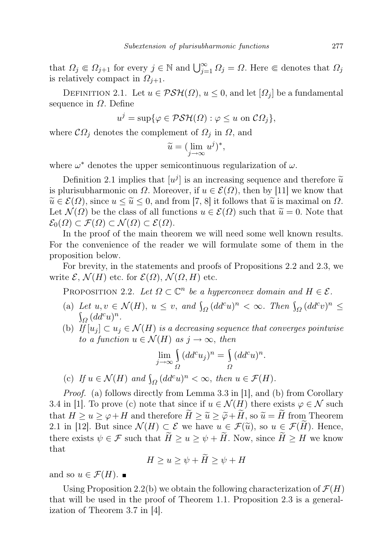that  $\Omega_j \in \Omega_{j+1}$  for every  $j \in \mathbb{N}$  and  $\bigcup_{j=1}^{\infty} \Omega_j = \Omega$ . Here  $\in$  denotes that  $\Omega_j$ is relatively compact in  $\Omega_{i+1}$ .

DEFINITION 2.1. Let  $u \in \mathcal{PSH}(\Omega)$ ,  $u \leq 0$ , and let  $[\Omega_j]$  be a fundamental sequence in  $\Omega$ . Define

$$
u^{j} = \sup \{ \varphi \in \mathcal{PSH}(\Omega) : \varphi \leq u \text{ on } \mathcal{C}\Omega_{j} \},
$$

where  $\mathcal{C}\Omega_j$  denotes the complement of  $\Omega_j$  in  $\Omega$ , and

$$
\widetilde{u} = (\lim_{j \to \infty} u^j)^*,
$$

where  $\omega^*$  denotes the upper semicontinuous regularization of  $\omega$ .

Definition 2.1 implies that  $[u^j]$  is an increasing sequence and therefore  $\tilde{u}$ <br>lurisupparaments on O. Moreover, if  $u \in \mathcal{E}(\Omega)$ , then by [11] we know that is plurisubharmonic on  $\Omega$ . Moreover, if  $u \in \mathcal{E}(\Omega)$ , then by [11] we know that  $\widetilde{u} \in \mathcal{E}(\Omega)$ , since  $u \leq \widetilde{u} \leq 0$ , and from [7, 8] it follows that  $\widetilde{u}$  is maximal on  $\Omega$ . Let  $\mathcal{N}(\Omega)$  be the class of all functions  $u \in \mathcal{E}(\Omega)$  such that  $\widetilde{u} = 0$ . Note that  $\mathcal{E}_0(\Omega) \subset \mathcal{F}(\Omega) \subset \mathcal{N}(\Omega) \subset \mathcal{E}(\Omega).$ 

In the proof of the main theorem we will need some well known results. For the convenience of the reader we will formulate some of them in the proposition below.

For brevity, in the statements and proofs of Propositions 2.2 and 2.3, we write  $\mathcal{E}, \mathcal{N}(H)$  etc. for  $\mathcal{E}(\Omega), \mathcal{N}(\Omega, H)$  etc.

PROPOSITION 2.2. Let  $\Omega \subset \mathbb{C}^n$  be a hyperconvex domain and  $H \in \mathcal{E}$ .

- (a) Let  $u, v \in \mathcal{N}(H)$ ,  $u \leq v$ , and  $\int_{\Omega} (dd^c u)^n < \infty$ . Then  $\int_{\Omega} (dd^c v)^n \leq$  $\int_{\Omega} (dd^c u)^n.$
- (b) If  $[u_j] \subset u_j \in \mathcal{N}(H)$  is a decreasing sequence that converges pointwise to a function  $u \in \mathcal{N}(H)$  as  $j \to \infty$ , then

$$
\lim_{j \to \infty} \int_{\Omega} (dd^c u_j)^n = \int_{\Omega} (dd^c u)^n.
$$

(c) If  $u \in \mathcal{N}(H)$  and  $\int_{\Omega} (dd^c u)^n < \infty$ , then  $u \in \mathcal{F}(H)$ .

Proof. (a) follows directly from Lemma 3.3 in [1], and (b) from Corollary 3.4 in [1]. To prove (c) note that since if  $u \in \mathcal{N}(H)$  there exists  $\varphi \in \mathcal{N}$  such that  $H \ge u \ge \varphi + H$  and therefore  $\widetilde{H} \ge \widetilde{u} \ge \widetilde{\varphi} + \widetilde{H}$ , so  $\widetilde{u} = \widetilde{H}$  from Theorem 2.1 in [12]. But since  $\mathcal{N}(H) \subset \mathcal{E}$  we have  $u \in \mathcal{F}(\widetilde{u})$ , so  $u \in \mathcal{F}(\widetilde{H})$ . Hence, there exists  $\psi \in \mathcal{F}$  such that  $\widetilde{H} \ge u \ge \psi + \widetilde{H}$ . Now, since  $\widetilde{H} \ge H$  we know that

$$
H \ge u \ge \psi + H \ge \psi + H
$$

and so  $u \in \mathcal{F}(H)$ .

Using Proposition 2.2(b) we obtain the following characterization of  $\mathcal{F}(H)$ that will be used in the proof of Theorem 1.1. Proposition 2.3 is a generalization of Theorem 3.7 in [4].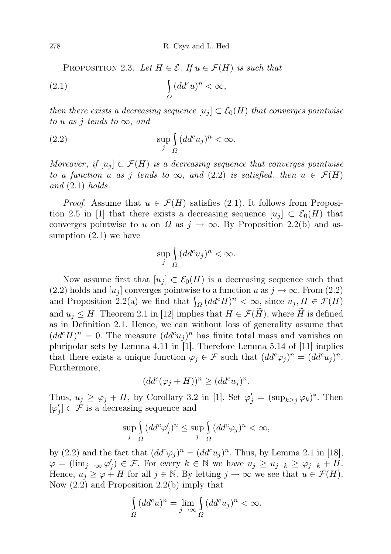PROPOSITION 2.3. Let  $H \in \mathcal{E}$ . If  $u \in \mathcal{F}(H)$  is such that

$$
\int_{\Omega} (dd^c u)^n < \infty,
$$

then there exists a decreasing sequence  $[u_j] \subset \mathcal{E}_0(H)$  that converges pointwise to u as j tends to  $\infty$ , and

(2.2) 
$$
\sup_{j} \int_{\Omega} (dd^c u_j)^n < \infty.
$$

Moreover, if  $[u_i] \subset \mathcal{F}(H)$  is a decreasing sequence that converges pointwise to a function u as j tends to  $\infty$ , and (2.2) is satisfied, then  $u \in \mathcal{F}(H)$ and  $(2.1)$  holds.

*Proof.* Assume that  $u \in \mathcal{F}(H)$  satisfies (2.1). It follows from Proposition 2.5 in [1] that there exists a decreasing sequence  $[u_i] \subset \mathcal{E}_0(H)$  that converges pointwise to u on  $\Omega$  as  $j \to \infty$ . By Proposition 2.2(b) and assumption (2.1) we have

$$
\sup_j \int_{\Omega} (dd^c u_j)^n < \infty.
$$

Now assume first that  $[u_j] \subset \mathcal{E}_0(H)$  is a decreasing sequence such that (2.2) holds and  $[u_i]$  converges pointwise to a function u as  $j \to \infty$ . From (2.2) and Proposition 2.2(a) we find that  $\int_{\Omega} (dd^c H)^n < \infty$ , since  $u_j, H \in \mathcal{F}(H)$ and  $u_j \leq H$ . Theorem 2.1 in [12] implies that  $H \in \mathcal{F}(\tilde{H})$ , where  $\tilde{H}$  is defined as in Definition 2.1. Hence, we can without loss of generality assume that  $(dd^cH)^n=0.$  The measure  $(dd^cu_j)^n$  has finite total mass and vanishes on pluripolar sets by Lemma 4.11 in [1]. Therefore Lemma 5.14 of [11] implies that there exists a unique function  $\varphi_j \in \mathcal{F}$  such that  $(dd^c\varphi_j)^n = (dd^c u_j)^n$ . Furthermore,

$$
(dd^c(\varphi_j + H))^n \geq (dd^c u_j)^n.
$$

Thus,  $u_j \ge \varphi_j + H$ , by Corollary 3.2 in [1]. Set  $\varphi'_j = (\sup_{k \ge j} \varphi_k)^*$ . Then  $[\varphi'_j] \subset \mathcal{F}$  is a decreasing sequence and

$$
\sup_{j} \int_{\Omega} (dd^c \varphi'_j)^n \le \sup_{j} \int_{\Omega} (dd^c \varphi_j)^n < \infty,
$$

by (2.2) and the fact that  $(dd^c\varphi_j)^n = (dd^c u_j)^n$ . Thus, by Lemma 2.1 in [18],  $\varphi = (\lim_{j \to \infty} \varphi'_j) \in \mathcal{F}$ . For every  $k \in \mathbb{N}$  we have  $u_j \geq u_{j+k} \geq \varphi_{j+k} + H$ . Hence,  $u_j \ge \varphi + H$  for all  $j \in \mathbb{N}$ . By letting  $j \to \infty$  we see that  $u \in \mathcal{F}(H)$ . Now (2.2) and Proposition 2.2(b) imply that

$$
\int\limits_\Omega(dd^cu)^n=\lim\limits_{j\rightarrow\infty}\int\limits_\Omega(dd^cu_j)^n<\infty.
$$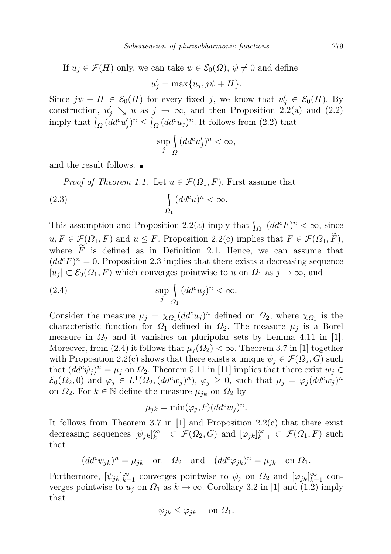If 
$$
u_j \in \mathcal{F}(H)
$$
 only, we can take  $\psi \in \mathcal{E}_0(\Omega)$ ,  $\psi \neq 0$  and define

 $u'_{j} = \max\{u_{j}, j\psi + H\}.$ 

Since  $j\psi + H \in \mathcal{E}_0(H)$  for every fixed j, we know that  $u'_j \in \mathcal{E}_0(H)$ . By construction,  $u'_j \searrow u$  as  $j \to \infty$ , and then Proposition 2.2(a) and (2.2) imply that  $\int_{\Omega} (dd^c u'_j)^n \leq \int_{\Omega} (dd^c u_j)^n$ . It follows from (2.2) that

$$
\sup_j \int\limits_{\Omega} (dd^c u'_j)^n < \infty,
$$

and the result follows.

*Proof of Theorem 1.1.* Let  $u \in \mathcal{F}(\Omega_1, F)$ . First assume that

(2.3) 
$$
\int_{\Omega_1} (dd^c u)^n < \infty.
$$

This assumption and Proposition 2.2(a) imply that  $\int_{\Omega_1} (dd^c F)^n < \infty$ , since  $u, F \in \mathcal{F}(\Omega_1, F)$  and  $u \leq F$ . Proposition 2.2(c) implies that  $F \in \mathcal{F}(\Omega_1, F)$ , where  $\widetilde{F}$  is defined as in Definition 2.1. Hence, we can assume that  $(dd^cF)^n=0.$  Proposition 2.3 implies that there exists a decreasing sequence  $[u_i] \subset \mathcal{E}_0(\Omega_1, F)$  which converges pointwise to u on  $\Omega_1$  as  $j \to \infty$ , and

(2.4) 
$$
\sup_{j} \int_{\Omega_1} (dd^c u_j)^n < \infty.
$$

Consider the measure  $\mu_j = \chi_{\Omega_1} (dd^c u_j)^n$  defined on  $\Omega_2$ , where  $\chi_{\Omega_1}$  is the characteristic function for  $\Omega_1$  defined in  $\Omega_2$ . The measure  $\mu_j$  is a Borel measure in  $\Omega_2$  and it vanishes on pluripolar sets by Lemma 4.11 in [1]. Moreover, from (2.4) it follows that  $\mu_i(\Omega_2) < \infty$ . Theorem 3.7 in [1] together with Proposition 2.2(c) shows that there exists a unique  $\psi_j \in \mathcal{F}(\Omega_2, G)$  such that  $(dd^c\psi_j)^n = \mu_j$  on  $\Omega_2$ . Theorem 5.11 in [11] implies that there exist  $w_j \in$  $\mathcal{E}_0(\Omega_2,0)$  and  $\varphi_j \in L^1(\Omega_2, (dd^c w_j)^n)$ ,  $\varphi_j \geq 0$ , such that  $\mu_j = \varphi_j (dd^c w_j)^n$ on  $\Omega_2$ . For  $k \in \mathbb{N}$  define the measure  $\mu_{jk}$  on  $\Omega_2$  by

$$
\mu_{jk} = \min(\varphi_j, k) (dd^c w_j)^n.
$$

It follows from Theorem 3.7 in  $[1]$  and Proposition 2.2(c) that there exist decreasing sequences  $[\psi_{jk}]_{k=1}^{\infty} \subset \mathcal{F}(\Omega_2, G)$  and  $[\varphi_{jk}]_{k=1}^{\infty} \subset \mathcal{F}(\Omega_1, F)$  such that

$$
(dd^c \psi_{jk})^n = \mu_{jk}
$$
 on  $\Omega_2$  and  $(dd^c \varphi_{jk})^n = \mu_{jk}$  on  $\Omega_1$ .

Furthermore,  $[\psi_{jk}]_{k=1}^{\infty}$  converges pointwise to  $\psi_j$  on  $\Omega_2$  and  $[\varphi_{jk}]_{k=1}^{\infty}$  converges pointwise to  $u_j$  on  $\Omega_1$  as  $k \to \infty$ . Corollary 3.2 in [1] and (1.2) imply that

$$
\psi_{jk} \leq \varphi_{jk} \quad \text{on } \Omega_1.
$$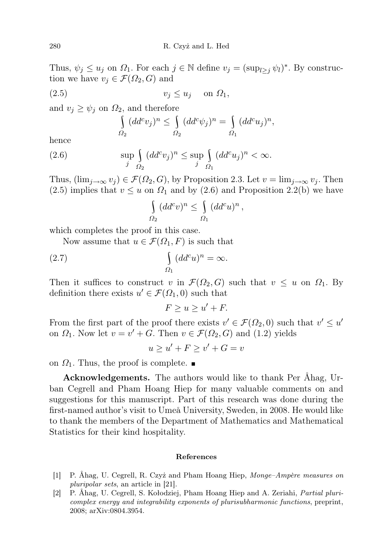Thus,  $\psi_j \leq u_j$  on  $\Omega_1$ . For each  $j \in \mathbb{N}$  define  $v_j = (\sup_{l \geq j} \psi_l)^*$ . By construction we have  $v_j \in \mathcal{F}(\Omega_2, G)$  and

$$
(2.5) \t\t v_j \le u_j \t on \t \Omega_1,
$$

and  $v_i \ge \psi_i$  on  $\Omega_2$ , and therefore

$$
\int_{\Omega_2} (dd^c v_j)^n \leq \int_{\Omega_2} (dd^c \psi_j)^n = \int_{\Omega_1} (dd^c u_j)^n,
$$

hence

(2.6) 
$$
\sup_{j} \int_{\Omega_2} (dd^c v_j)^n \leq \sup_{j} \int_{\Omega_1} (dd^c u_j)^n < \infty.
$$

Thus,  $(\lim_{i\to\infty}v_i)\in \mathcal{F}(\Omega_2,G)$ , by Proposition 2.3. Let  $v=\lim_{i\to\infty}v_i$ . Then (2.5) implies that  $v \leq u$  on  $\Omega_1$  and by (2.6) and Proposition 2.2(b) we have

$$
\int_{\Omega_2} (dd^c v)^n \leq \int_{\Omega_1} (dd^c u)^n,
$$

which completes the proof in this case.

Now assume that  $u \in \mathcal{F}(\Omega_1, F)$  is such that

(2.7) 
$$
\int_{\Omega_1} (dd^c u)^n = \infty.
$$

Then it suffices to construct v in  $\mathcal{F}(\Omega_2, G)$  such that  $v \leq u$  on  $\Omega_1$ . By definition there exists  $u' \in \mathcal{F}(\Omega_1, 0)$  such that

 $F \geq u \geq u' + F.$ 

From the first part of the proof there exists  $v' \in \mathcal{F}(\Omega_2, 0)$  such that  $v' \leq u'$ on  $\Omega_1$ . Now let  $v = v' + G$ . Then  $v \in \mathcal{F}(\Omega_2, G)$  and (1.2) yields

$$
u \ge u' + F \ge v' + G = v
$$

on  $\Omega_1$ . Thus, the proof is complete.  $\blacksquare$ 

Acknowledgements. The authors would like to thank Per Åhag, Urban Cegrell and Pham Hoang Hiep for many valuable comments on and suggestions for this manuscript. Part of this research was done during the first-named author's visit to Umeå University, Sweden, in 2008. He would like to thank the members of the Department of Mathematics and Mathematical Statistics for their kind hospitality.

## References

- [1] P. Åhag, U. Cegrell, R. Czyż and Pham Hoang Hiep, Monge–Ampère measures on pluripolar sets, an article in [21].
- [2] P. Åhag, U. Cegrell, S. Kołodziej, Pham Hoang Hiep and A. Zeriahi, Partial pluricomplex energy and integrability exponents of plurisubharmonic functions, preprint, 2008; arXiv:0804.3954.